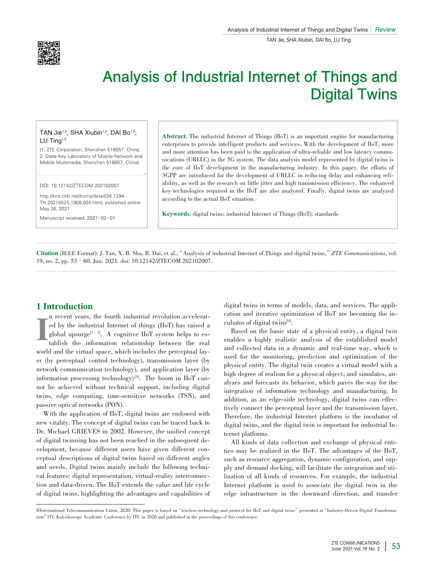

# Analysis of Industrial Internet of Things and Digital Twins

## TAN Jie<sup>1,2</sup>, SHA Xiubin<sup>1,2</sup>, DAI Bo<sup>1,2</sup>, LU Ting $1,2$

(1. ZTE Corporation, Shenzhen 518057, China; 2. State Key Laboratory of Mobile Network and Mobile Multimedia, Shenzhen 518057, China)

DOI: 10.12142/ZTECOM.202102007

http://kns.cnki.net/kcms/detail/34.1294. TN.20210525.1908.004.html, published online May 26, 2021

Manuscript received: 2021-02-01

Abstract: The industrial Internet of Things (IIoT) is an important engine for manufacturing enterprises to provide intelligent products and services. With the development of IIoT, more and more attention has been paid to the application of ultra-reliable and low latency communications (URLLC) in the 5G system. The data analysis model represented by digital twins is the core of IIoT development in the manufacturing industry. In this paper, the efforts of 3GPP are introduced for the development of URLLC in reducing delay and enhancing reliability, as well as the research on little jitter and high transmission efficiency. The enhanced key technologies required in the IIoT are also analyzed. Finally, digital twins are analyzed according to the actual IIoT situation.

Keywords: digital twins; industrial Internet of Things (IIoT); standards

Citation (IEEE Format): J. Tan, X. B. Sha, B. Dai, et al.,"Analysis of industrial Internet of Things and digital twins,"*ZTE Communications*, vol. 19, no. 2, pp. 53–60, Jun. 2021. doi: 10.12142/ZTECOM.202102007.

## 1 Introduction

I n recent years, the fourth industrial revolution accelerated by the industrial Internet of things (IIoT) has raised a global upsurge<sup>[1–2]</sup>. A cognitive  $IIoT$  system helps to establish the information relationship between the real world and the virtual space, which includes the perceptual layer (by perceptual control technology), transmission layer (by network communication technology), and application layer (by information processing technology)<sup>[3]</sup>. The boom in IIoT cannot be achieved without technical support, including digital twins, edge computing, time-sensitive networks (TSN), and passive optical networks (PON).

With the application of IIoT, digital twins are endowed with new vitality. The concept of digital twins can be traced back to Dr. Michael GRIEVES in 2002. However, the unified concept of digital twinning has not been reached in the subsequent de⁃ velopment, because different users have given different conceptual descriptions of digital twins based on different angles and needs. Digital twins mainly include the following technical features: digital representation, virtual-reality interconnection and data-driven. The IIoT extends the value and life cycle of digital twins, highlighting the advantages and capabilities of digital twins in terms of models, data, and services. The application and iterative optimization of  $IIoT$  are becoming the incubator of digital twins<sup>[4]</sup>.

Based on the basic state of a physical entity, a digital twin enables a highly realistic analysis of the established model and collected data in a dynamic and real-time way, which is used for the monitoring, prediction and optimization of the physical entity. The digital twin creates a virtual model with a high degree of realism for a physical object, and simulates, analyzes and forecasts its behavior, which paves the way for the integration of information technology and manufacturing. In addition, as an edge-side technology, digital twins can effec tively connect the perceptual layer and the transmission layer. Therefore, the industrial Internet platform is the incubator of digital twins, and the digital twin is important for industrial Internet platforms.

All kinds of data collection and exchange of physical entities may be realized in the IIoT. The advantages of the IIoT, such as resource aggregation, dynamic configuration, and supply and demand docking, will facilitate the integration and utilization of all kinds of resources. For example, the industrial Internet platform is used to associate the digital twin in the edge infrastructure in the downward direction, and transfer

CInternational Telecommunication Union, 2020: This paper is based on "wireless technology and protocol for IIoT and digital twins" presented at "Industry-Driven Digital Transformation"ITU Kaleidoscope Academic Conference by ITU in 2020 and published in the proceedings of this conference.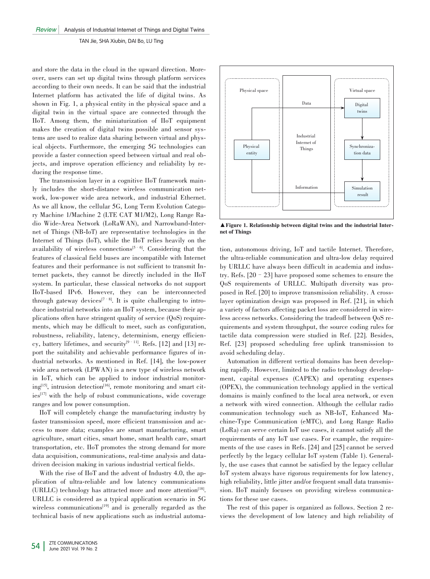and store the data in the cloud in the upward direction. Moreover, users can set up digital twins through platform services according to their own needs. It can be said that the industrial Internet platform has activated the life of digital twins. As shown in Fig. 1, a physical entity in the physical space and a digital twin in the virtual space are connected through the IIoT. Among them, the miniaturization of IIoT equipment makes the creation of digital twins possible and sensor systems are used to realize data sharing between virtual and physical objects. Furthermore, the emerging 5G technologies can provide a faster connection speed between virtual and real objects, and improve operation efficiency and reliability by re⁃ ducing the response time.

The transmission layer in a cognitive IIoT framework mainly includes the short-distance wireless communication network, low-power wide area network, and industrial Ethernet. As we all know, the cellular 5G, Long Term Evolution Category Machine 1/Machine 2 (LTE CAT M1/M2), Long Range Radio Wide-Area Network (LoRaWAN), and Narrowband-Internet of Things (NB-IoT) are representative technologies in the Internet of Things (IoT), while the IIoT relies heavily on the availability of wireless connections<sup>[5-6]</sup>. Considering that the features of classical field buses are incompatible with Internet features and their performance is not sufficient to transmit Internet packets, they cannot be directly included in the IIoT system. In particular, these classical networks do not support IIoT-based IPv6. However, they can be interconnected through gateway devices<sup>[7–8]</sup>. It is quite challenging to introduce industrial networks into an IIoT system, because their applications often have stringent quality of service  $(QoS)$  require ments, which may be difficult to meet, such as configuration, robustness, reliability, latency, determinism, energy efficiency, battery lifetimes, and security<sup>[9–11]</sup>. Refs. [12] and [13] report the suitability and achievable performance figures of industrial networks. As mentioned in Ref. [14], the low-power wide area network (LPWAN) is a new type of wireless network in IoT, which can be applied to indoor industrial monitoring<sup>[15]</sup>, intrusion detection<sup>[16]</sup>, remote monitoring and smart cit $ies^{[17]}$  with the help of robust communications, wide coverage ranges and low power consumption.

IIoT will completely change the manufacturing industry by faster transmission speed, more efficient transmission and access to more data; examples are smart manufacturing, smart agriculture, smart cities, smart home, smart health care, smart transportation, etc. IIoT promotes the strong demand for more data acquisition, communications, real-time analysis and datadriven decision making in various industrial vertical fields.

With the rise of IIoT and the advent of Industry 4.0, the application of ultra-reliable and low latency communications (URLLC) technology has attracted more and more attention<sup>[18]</sup>. URLLC is considered as a typical application scenario in 5G wireless communications $[19]$  and is generally regarded as the technical basis of new applications such as industrial automa-



▲ Figure 1. Relationship between digital twins and the industrial Intera net of Things

tion, autonomous driving, IoT and tactile Internet. Therefore, the ultra-reliable communication and ultra-low delay required by URLLC have always been difficult in academia and industry. Refs. [20–23] have proposed some schemes to ensure the QoS requirements of URLLC. Multipath diversity was pro⁃ posed in Ref. [20] to improve transmission reliability. A crosslayer optimization design was proposed in Ref. [21], in which a variety of factors affecting packet loss are considered in wire less access networks. Considering the tradeoff between  $QoS$  requirements and system throughput, the source coding rules for tactile data compression were studied in Ref. [22]. Besides, Ref. [23] proposed scheduling free uplink transmission to avoid scheduling delay.

Automation in different vertical domains has been developing rapidly. However, limited to the radio technology development, capital expenses (CAPEX) and operating expenses (OPEX), the communication technology applied in the vertical domains is mainly confined to the local area network, or even a network with wired connection. Although the cellular radio communication technology such as NB-IoT, Enhanced Machine-Type Communication (eMTC), and Long Range Radio (LoRa) can serve certain IoT use cases, it cannot satisfy all the requirements of any IoT use cases. For example, the requirements of the use cases in Refs. [24] and [25] cannot be served perfectly by the legacy cellular IoT system (Table 1). Generally, the use cases that cannot be satisfied by the legacy cellular IoT system always have rigorous requirements for low latency, high reliability, little jitter and/or frequent small data transmission. IIoT mainly focuses on providing wireless communications for these use cases.

The rest of this paper is organized as follows. Section 2 reviews the development of low latency and high reliability of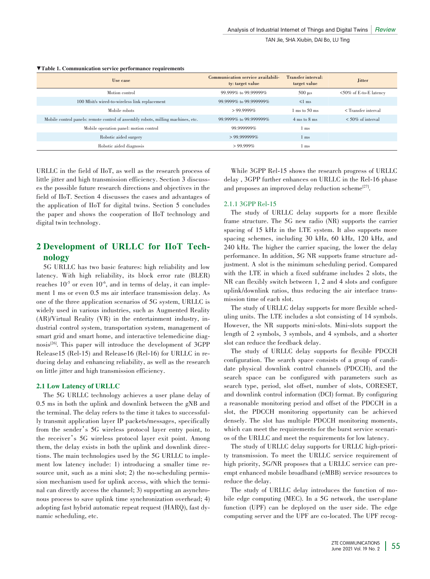#### ▼Table 1. Communication service performance requirements

| Use case                                                                         | Communication service availabili-<br>ty: target value | Transfer interval:<br>target value | <b>Jitter</b>                            |
|----------------------------------------------------------------------------------|-------------------------------------------------------|------------------------------------|------------------------------------------|
| Motion control                                                                   | 99.999% to 99.99999%                                  | $500 \mu s$                        | $50\%$ of E-to-E latency                 |
| 100 Mbit/s wired-to-wireless link replacement                                    | 99.9999% to 99.999999%                                | $\leq 1$ ms                        |                                          |
| Mobile robots                                                                    | $>99.9999\%$                                          | $1 \text{ ms}$ to $50 \text{ ms}$  | <transfer interval<="" td=""></transfer> |
| Mobile control panels: remote control of assembly robots, milling machines, etc. | 99.9999% to 99.999999%                                | $4 \text{ ms}$ to $8 \text{ ms}$   | $\leq 50\%$ of interval                  |
| Mobile operation panel: motion control                                           | 99.999999%                                            | ms                                 |                                          |
| Robotic aided surgery                                                            | $> 99.999999\%$                                       | l ms                               |                                          |
| Robotic aided diagnosis                                                          | $>99.999\%$                                           | ms                                 |                                          |

URLLC in the field of IIoT, as well as the research process of little jitter and high transmission efficiency. Section 3 discusses the possible future research directions and objectives in the field of IIoT. Section 4 discusses the cases and advantages of the application of IIoT for digital twins. Section 5 concludes the paper and shows the cooperation of IIoT technology and digital twin technology.

# 2 Development of URLLC for IIoT Tech⁃ nology

5G URLLC has two basic features: high reliability and low latency. With high reliability, its block error rate (BLER) reaches  $10^{-5}$  or even  $10^{-6}$ , and in terms of delay, it can implement 1 ms or even 0.5 ms air interface transmission delay. As one of the three application scenarios of 5G system, URLLC is widely used in various industries, such as Augmented Reality (AR)/Virtual Reality (VR) in the entertainment industry, industrial control system, transportation system, management of smart grid and smart home, and interactive telemedicine diagnosis<sup>[26]</sup>. This paper will introduce the development of 3GPP Release15 (Rel-15) and Release16 (Rel-16) for URLLC in reducing delay and enhancing reliability, as well as the research on little jitter and high transmission efficiency.

#### 2.1 Low Latency of URLLC

The 5G URLLC technology achieves a user plane delay of 0.5 ms in both the uplink and downlink between the gNB and the terminal. The delay refers to the time it takes to successful ly transmit application layer IP packets/messages, specifically from the sender's 5G wireless protocol layer entry point, to the receiver's 5G wireless protocol layer exit point. Among them, the delay exists in both the uplink and downlink directions. The main technologies used by the 5G URLLC to implement low latency include: 1) introducing a smaller time resource unit, such as a mini slot; 2) the no-scheduling permission mechanism used for uplink access, with which the terminal can directly access the channel; 3) supporting an asynchronous process to save uplink time synchronization overhead; 4) adopting fast hybrid automatic repeat request (HARQ), fast dynamic scheduling, etc.

While 3GPP Rel-15 shows the research progress of URLLC delay , 3GPP further enhances on URLLC in the Rel-16 phase and proposes an improved delay reduction scheme<sup>[27]</sup>.

#### 2.1.1 3GPP Rel-15

The study of URLLC delay supports for a more flexible frame structure. The 5G new radio (NR) supports the carrier spacing of 15 kHz in the LTE system. It also supports more spacing schemes, including 30 kHz, 60 kHz, 120 kHz, and 240 kHz. The higher the carrier spacing, the lower the delay performance. In addition, 5G NR supports frame structure adjustment. A slot is the minimum scheduling period. Compared with the LTE in which a fixed subframe includes 2 slots, the NR can flexibly switch between 1, 2 and 4 slots and configure uplink/downlink ratios, thus reducing the air interface transmission time of each slot.

The study of URLLC delay supports for more flexible scheduling units. The LTE includes a slot consisting of 14 symbols. However, the NR supports mini-slots. Mini-slots support the length of 2 symbols, 3 symbols, and 4 symbols, and a shorter slot can reduce the feedback delay.

The study of URLLC delay supports for flexible PDCCH configuration. The search space consists of a group of candidate physical downlink control channels (PDCCH), and the search space can be configured with parameters such as search type, period, slot offset, number of slots, CORESET, and downlink control information (DCI) format. By configuring a reasonable monitoring period and offset of the PDCCH in a slot, the PDCCH monitoring opportunity can be achieved densely. The slot has multiple PDCCH monitoring moments, which can meet the requirements for the burst service scenarios of the URLLC and meet the requirements for low latency.

The study of URLLC delay supports for URLLC high-priority transmission. To meet the URLLC service requirement of high priority, 5G/NR proposes that a URLLC service can preempt enhanced mobile broadband (eMBB) service resources to reduce the delay.

The study of URLLC delay introduces the function of mobile edge computing (MEC). In a 5G network, the user-plane function (UPF) can be deployed on the user side. The edge computing server and the UPF are co-located. The UPF recog-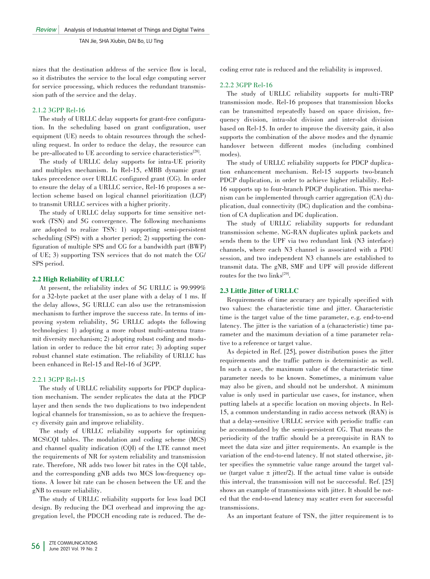nizes that the destination address of the service flow is local, so it distributes the service to the local edge computing server for service processing, which reduces the redundant transmission path of the service and the delay.

### 2.1.2 3GPP Rel-16

The study of URLLC delay supports for grant-free configuration. In the scheduling based on grant configuration, user equipment (UE) needs to obtain resources through the scheduling request. In order to reduce the delay, the resource can be pre-allocated to UE according to service characteristics<sup>[28]</sup>.

The study of URLLC delay supports for intra-UE priority and multiplex mechanism. In Rel-15, eMBB dynamic grant takes precedence over URLLC configured grant (CG). In order to ensure the delay of a URLLC service, Rel-16 proposes a selection scheme based on logical channel prioritization (LCP) to transmit URLLC services with a higher priority.

The study of URLLC delay supports for time sensitive network (TSN) and 5G convergence. The following mechanisms are adopted to realize TSN: 1) supporting semi-persistent scheduling (SPS) with a shorter period; 2) supporting the configuration of multiple SPS and CG for a bandwidth part (BWP) of UE; 3) supporting TSN services that do not match the CG/ SPS period.

## 2.2 High Reliability of URLLC

At present, the reliability index of 5G URLLC is 99.999% for a 32-byte packet at the user plane with a delay of 1 ms. If the delay allows, 5G URLLC can also use the retransmission mechanism to further improve the success rate. In terms of improving system reliability, 5G URLLC adopts the following technologies: 1) adopting a more robust multi-antenna transmit diversity mechanism; 2) adopting robust coding and modulation in order to reduce the bit error rate; 3) adopting super robust channel state estimation. The reliability of URLLC has been enhanced in Rel-15 and Rel-16 of 3GPP.

## 2.2.1 3GPP Rel-15

The study of URLLC reliability supports for PDCP duplication mechanism. The sender replicates the data at the PDCP layer and then sends the two duplications to two independent logical channels for transmission, so as to achieve the frequency diversity gain and improve reliability.

The study of URLLC reliability supports for optimizing MCS\CQI tables. The modulation and coding scheme (MCS) and channel quality indication (CQI) of the LTE cannot meet the requirements of NR for system reliability and transmission rate. Therefore, NR adds two lower bit rates in the CQI table, and the corresponding gNB adds two MCS low-frequency options. A lower bit rate can be chosen between the UE and the gNB to ensure reliability.

The study of URLLC reliability supports for less load DCI design. By reducing the DCI overhead and improving the aggregation level, the PDCCH encoding rate is reduced. The decoding error rate is reduced and the reliability is improved.

## 2.2.2 3GPP Rel-16

The study of URLLC reliability supports for multi-TRP transmission mode. Rel-16 proposes that transmission blocks can be transmitted repeatedly based on space division, frequency division, intra-slot division and inter-slot division based on Rel-15. In order to improve the diversity gain, it also supports the combination of the above modes and the dynamic handover between different modes (including combined modes).

The study of URLLC reliability supports for PDCP duplication enhancement mechanism. Rel-15 supports two-branch PDCP duplication, in order to achieve higher reliability. Rel-16 supports up to four-branch PDCP duplication. This mechanism can be implemented through carrier aggregation (CA) duplication, dual connectivity (DC) duplication and the combination of CA duplication and DC duplication.

The study of URLLC reliability supports for redundant transmission scheme. NG-RAN duplicates uplink packets and sends them to the UPF via two redundant link (N3 interface) channels, where each N3 channel is associated with a PDU session, and two independent N3 channels are established to transmit data. The gNB, SMF and UPF will provide different routes for the two  $links^{[29]}$ .

## 2.3 Little Jitter of URLLC

Requirements of time accuracy are typically specified with two values: the characteristic time and jitter. Characteristic time is the target value of the time parameter, e.g. end-to-end latency. The jitter is the variation of a (characteristic) time parameter and the maximum deviation of a time parameter relative to a reference or target value.

As depicted in Ref. [25], power distribution poses the jitter requirements and the traffic pattern is deterministic as well. In such a case, the maximum value of the characteristic time parameter needs to be known. Sometimes, a minimum value may also be given, and should not be undershot. A minimum value is only used in particular use cases, for instance, when putting labels at a specific location on moving objects. In Rel-15, a common understanding in radio access network (RAN) is that a delay-sensitive URLLC service with periodic traffic can be accommodated by the semi-persistent CG. That means the periodicity of the traffic should be a prerequisite in RAN to meet the data size and jitter requirements. An example is the variation of the end-to-end latency. If not stated otherwise, jitter specifies the symmetric value range around the target value (target value  $\pm$  jitter/2). If the actual time value is outside this interval, the transmission will not be successful. Ref. [25] shows an example of transmissions with jitter. It should be noted that the end-to-end latency may scatter even for successful transmissions.

As an important feature of TSN, the jitter requirement is to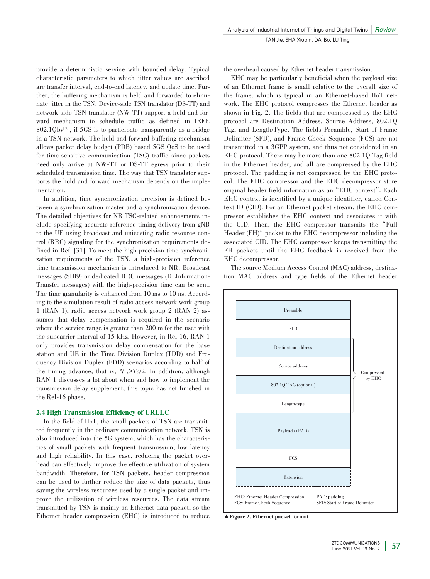provide a deterministic service with bounded delay. Typical characteristic parameters to which jitter values are ascribed are transfer interval, end-to-end latency, and update time. Further, the buffering mechanism is held and forwarded to eliminate jitter in the TSN. Device-side TSN translator (DS-TT) and network-side TSN translator (NW-TT) support a hold and forward mechanism to schedule traffic as defined in IEEE  $802.1Qbv^{30}$ , if 5GS is to participate transparently as a bridge in a TSN network. The hold and forward buffering mechanism allows packet delay budget (PDB) based 5GS QoS to be used for time-sensitive communication (TSC) traffic since packets need only arrive at NW-TT or DS-TT egress prior to their scheduled transmission time. The way that TSN translator supports the hold and forward mechanism depends on the implementation.

In addition, time synchronization precision is defined between a synchronization master and a synchronization device. The detailed objectives for NR TSC-related enhancements include specifying accurate reference timing delivery from gNB to the UE using broadcast and unicasting radio resource control (RRC) signaling for the synchronization requirements defined in Ref. [31]. To meet the high-precision time synchronization requirements of the TSN, a high-precision reference time transmission mechanism is introduced to NR. Broadcast messages (SIB9) or dedicated RRC messages (DLInformation-Transfer messages) with the high-precision time can be sent. The time granularity is enhanced from 10 ms to 10 ns. According to the simulation result of radio access network work group 1 (RAN 1), radio access network work group 2 (RAN 2) as⁃ sumes that delay compensation is required in the scenario where the service range is greater than 200 m for the user with the subcarrier interval of 15 kHz. However, in Rel-16, RAN 1 only provides transmission delay compensation for the base station and UE in the Time Division Duplex (TDD) and Frequency Division Duplex (FDD) scenarios according to half of the timing advance, that is,  $N_{TA} \times T_c/2$ . In addition, although RAN 1 discusses a lot about when and how to implement the transmission delay supplement, this topic has not finished in the Rel-16 phase.

#### 2.4 High Transmission Efficiency of URLLC

In the field of IIoT, the small packets of TSN are transmitted frequently in the ordinary communication network. TSN is also introduced into the 5G system, which has the characteristics of small packets with frequent transmission, low latency and high reliability. In this case, reducing the packet overhead can effectively improve the effective utilization of system bandwidth. Therefore, for TSN packets, header compression can be used to further reduce the size of data packets, thus saving the wireless resources used by a single packet and improve the utilization of wireless resources. The data stream transmitted by TSN is mainly an Ethernet data packet, so the Ethernet header compression (EHC) is introduced to reduce the overhead caused by Ethernet header transmission.

EHC may be particularly beneficial when the payload size of an Ethernet frame is small relative to the overall size of the frame, which is typical in an Ethernet-based IIoT network. The EHC protocol compresses the Ethernet header as shown in Fig. 2. The fields that are compressed by the EHC protocol are Destination Address, Source Address, 802.1Q Tag, and Length/Type. The fields Preamble, Start of Frame Delimiter (SFD), and Frame Check Sequence (FCS) are not transmitted in a 3GPP system, and thus not considered in an EHC protocol. There may be more than one 802.1Q Tag field in the Ethernet header, and all are compressed by the EHC protocol. The padding is not compressed by the EHC protocol. The EHC compressor and the EHC decompressor store original header field information as an"EHC context". Each EHC context is identified by a unique identifier, called Context ID (CID). For an Ethernet packet stream, the EHC compressor establishes the EHC context and associates it with the CID. Then, the EHC compressor transmits the"Full Header (FH)" packet to the EHC decompressor including the associated CID. The EHC compressor keeps transmitting the FH packets until the EHC feedback is received from the EHC decompressor.

The source Medium Access Control (MAC) address, destination MAC address and type fields of the Ethernet header



▲Figure 2. Ethernet packet format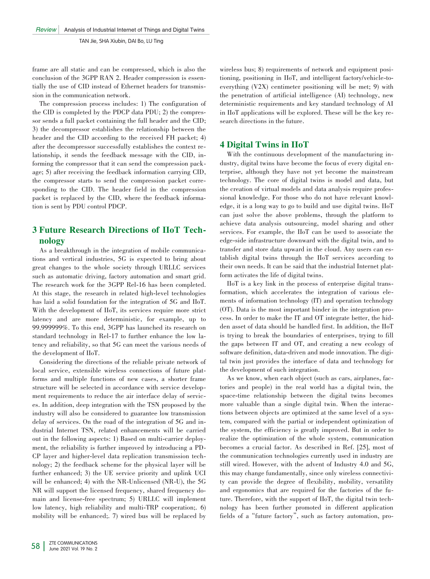frame are all static and can be compressed, which is also the conclusion of the 3GPP RAN 2. Header compression is essentially the use of CID instead of Ethernet headers for transmission in the communication network.

The compression process includes: 1) The configuration of the CID is completed by the PDCP data PDU; 2) the compressor sends a full packet containing the full header and the CID; 3) the decompressor establishes the relationship between the header and the CID according to the received FH packet; 4) after the decompressor successfully establishes the context relationship, it sends the feedback message with the CID, informing the compressor that it can send the compression pack age; 5) after receiving the feedback information carrying CID, the compressor starts to send the compression packet corresponding to the CID. The header field in the compression packet is replaced by the CID, where the feedback information is sent by PDU control PDCP.

# 3 Future Research Directions of IIoT Tech⁃ nology

As a breakthrough in the integration of mobile communications and vertical industries, 5G is expected to bring about great changes to the whole society through URLLC services such as automatic driving, factory automation and smart grid. The research work for the 3GPP Rel-16 has been completed. At this stage, the research in related high-level technologies has laid a solid foundation for the integration of 5G and IIoT. With the development of IIoT, its services require more strict latency and are more deterministic, for example, up to 99.999999%. To this end, 3GPP has launched its research on standard technology in Rel-17 to further enhance the low latency and reliability, so that 5G can meet the various needs of the development of IIoT.

Considering the directions of the reliable private network of local service, extensible wireless connections of future platforms and multiple functions of new cases, a shorter frame structure will be selected in accordance with service development requirements to reduce the air interface delay of services. In addition, deep integration with the TSN proposed by the industry will also be considered to guarantee low transmission delay of services. On the road of the integration of 5G and industrial Internet TSN, related enhancements will be carried out in the following aspects: 1) Based on multi-carrier deployment, the reliability is further improved by introducing a PD-CP layer and higher-level data replication transmission tech⁃ nology; 2) the feedback scheme for the physical layer will be further enhanced; 3) the UE service priority and uplink UCI will be enhanced; 4) with the NR-Unlicensed (NR-U), the 5G NR will support the licensed frequency, shared frequency domain and license-free spectrum; 5) URLLC will implement low latency, high reliability and multi-TRP cooperation;. 6) mobility will be enhanced;. 7) wired bus will be replaced by

wireless bus; 8) requirements of network and equipment positioning, positioning in IIoT, and intelligent factory/vehicle-toeverything (V2X) centimeter positioning will be met; 9) with the penetration of artificial intelligence (AI) technology, new deterministic requirements and key standard technology of AI in IIoT applications will be explored. These will be the key research directions in the future.

## 4 Digital Twins in IIoT

With the continuous development of the manufacturing industry, digital twins have become the focus of every digital enterprise, although they have not yet become the mainstream technology. The core of digital twins is model and data, but the creation of virtual models and data analysis require professional knowledge. For those who do not have relevant knowledge, it is a long way to go to build and use digital twins. IIoT can just solve the above problems, through the platform to achieve data analysis outsourcing, model sharing and other services. For example, the IIoT can be used to associate the edge-side infrastructure downward with the digital twin, and to transfer and store data upward in the cloud. Any users can establish digital twins through the IIoT services according to their own needs. It can be said that the industrial Internet platform activates the life of digital twins.

IIoT is a key link in the process of enterprise digital trans⁃ formation, which accelerates the integration of various elements of information technology (IT) and operation technology (OT). Data is the most important binder in the integration process. In order to make the IT and OT integrate better, the hidden asset of data should be handled first. In addition, the IIoT is trying to break the boundaries of enterprises, trying to fill the gaps between IT and OT, and creating a new ecology of software definition, data-driven and mode innovation. The digital twin just provides the interface of data and technology for the development of such integration.

As we know, when each object (such as cars, airplanes, factories and people) in the real world has a digital twin, the space-time relationship between the digital twins becomes more valuable than a single digital twin. When the interactions between objects are optimized at the same level of a system, compared with the partial or independent optimization of the system, the efficiency is greatly improved. But in order to realize the optimization of the whole system, communication becomes a crucial factor. As described in Ref. [25], most of the communication technologies currently used in industry are still wired. However, with the advent of Industry 4.0 and 5G, this may change fundamentally, since only wireless connectivity can provide the degree of flexibility, mobility, versatility and ergonomics that are required for the factories of the future. Therefore, with the support of IIoT, the digital twin technology has been further promoted in different application fields of a "future factory", such as factory automation, pro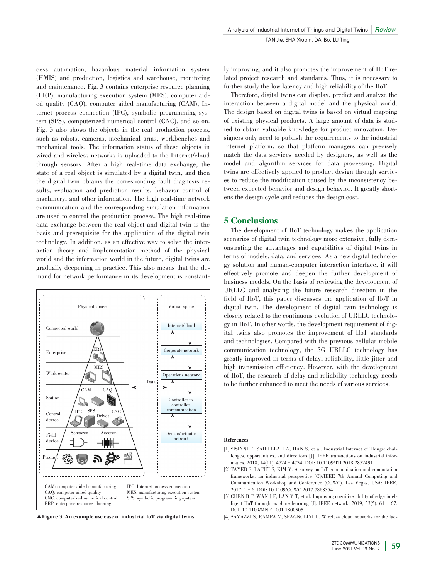cess automation, hazardous material information system (HMIS) and production, logistics and warehouse, monitoring and maintenance. Fig. 3 contains enterprise resource planning (ERP), manufacturing execution system (MES), computer aided quality (CAQ), computer aided manufacturing (CAM), Internet process connection (IPC), symbolic programming system (SPS), computerized numerical control (CNC), and so on. Fig. 3 also shows the objects in the real production process, such as robots, cameras, mechanical arms, workbenches and mechanical tools. The information status of these objects in wired and wireless networks is uploaded to the Internet/cloud through sensors. After a high real-time data exchange, the state of a real object is simulated by a digital twin, and then the digital twin obtains the corresponding fault diagnosis results, evaluation and prediction results, behavior control of machinery, and other information. The high real-time network communication and the corresponding simulation information are used to control the production process. The high real-time data exchange between the real object and digital twin is the basis and prerequisite for the application of the digital twin technology. In addition, as an effective way to solve the interaction theory and implementation method of the physical world and the information world in the future, digital twins are gradually deepening in practice. This also means that the de⁃ mand for network performance in its development is constant-



ly improving, and it also promotes the improvement of IIoT related project research and standards. Thus, it is necessary to further study the low latency and high reliability of the IIoT.

Therefore, digital twins can display, predict and analyze the interaction between a digital model and the physical world. The design based on digital twins is based on virtual mapping of existing physical products. A large amount of data is studied to obtain valuable knowledge for product innovation. Designers only need to publish the requirements to the industrial Internet platform, so that platform managers can precisely match the data services needed by designers, as well as the model and algorithm services for data processing. Digital twins are effectively applied to product design through services to reduce the modification caused by the inconsistency be⁃ tween expected behavior and design behavior. It greatly shortens the design cycle and reduces the design cost.

## 5 Conclusions

The development of IIoT technology makes the application scenarios of digital twin technology more extensive, fully demonstrating the advantages and capabilities of digital twins in terms of models, data, and services. As a new digital technology solution and human-computer interaction interface, it will effectively promote and deepen the further development of business models. On the basis of reviewing the development of URLLC and analyzing the future research direction in the field of IIoT, this paper discusses the application of IIoT in digital twin. The development of digital twin technology is closely related to the continuous evolution of URLLC technology in IIoT. In other words, the development requirement of digital twins also promotes the improvement of IIoT standards and technologies. Compared with the previous cellular mobile communication technology, the 5G URLLC technology has greatly improved in terms of delay, reliability, little jitter and high transmission efficiency. However, with the development of IIoT, the research of delay and reliability technology needs to be further enhanced to meet the needs of various services.

#### References

- [1] SISINNI E, SAIFULLAH A, HAN S, et al. Industrial Internet of Things: challenges, opportunities, and directions [J]. IEEE transactions on industrial informatics, 2018, 14(11): 4724–4734. DOI: 10.1109/TII.2018.2852491
- [2] TAYEB S, LATIFI S, KIM Y. A survey on IoT communication and computation frameworks: an industrial perspective [C]//IEEE 7th Annual Computing and Communication Workshop and Conference (CCWC). Las Vegas, USA: IEEE, 2017: 1–6. DOI: 10.1109/CCWC.2017.7868354
- [3] CHEN B T, WAN J F, LAN Y T, et al. Improving cognitive ability of edge intelligent IIoT through machine learning [J]. IEEE network, 2019, 33(5): 61–67. DOI: 10.1109/MNET.001.1800505
- ▲Figure 3. An example use case of industrial IoT via digital twins [4] SAVAZZI S, RAMPA V, SPAGNOLINI U. Wireless cloud networks for the fac-